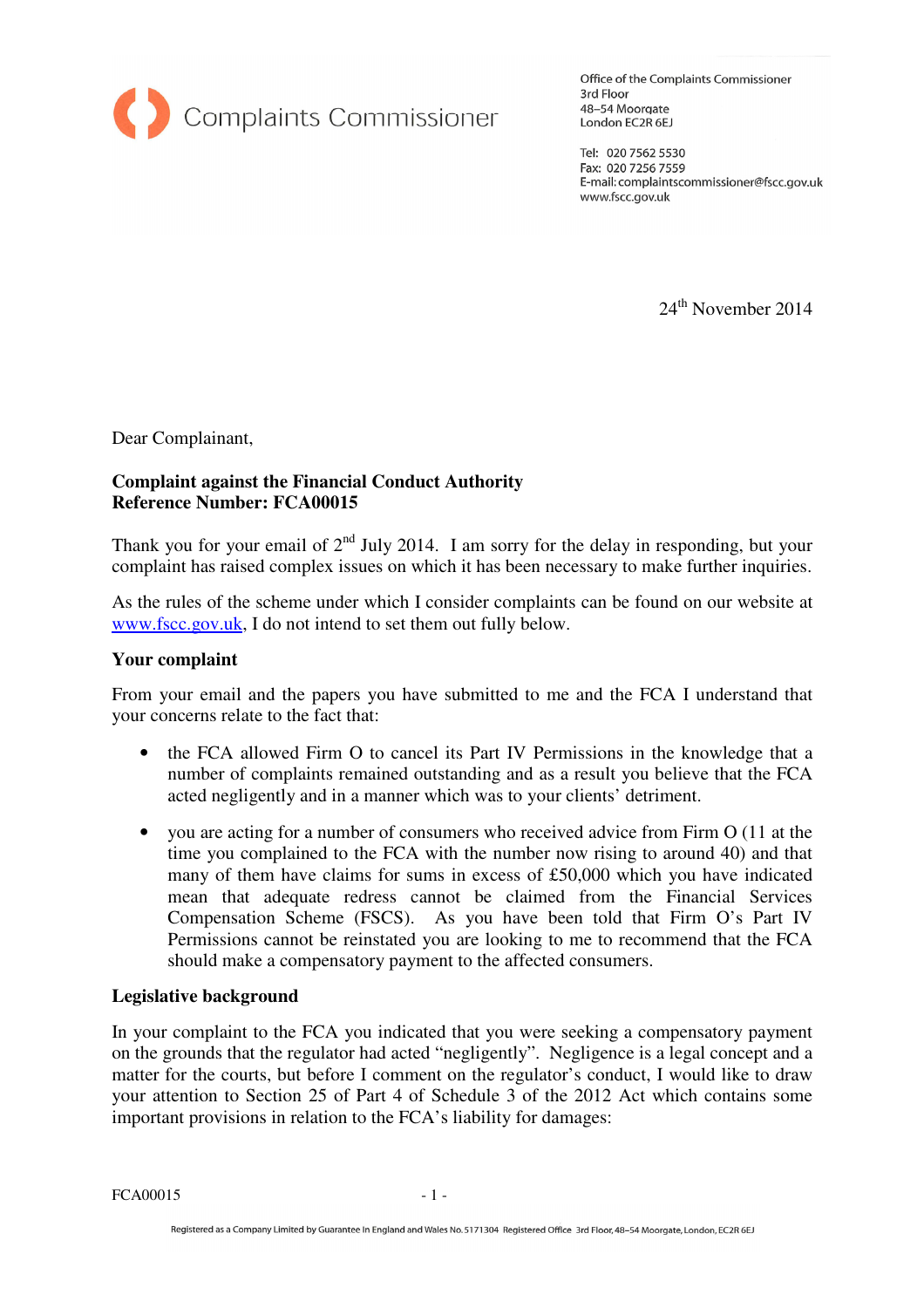

Office of the Complaints Commissioner 3rd Floor 48-54 Moorgate London EC2R 6EJ

Tel: 020 7562 5530 Fax: 020 7256 7559 E-mail: complaintscommissioner@fscc.gov.uk www.fscc.gov.uk

24<sup>th</sup> November 2014

Dear Complainant,

### **Complaint against the Financial Conduct Authority Reference Number: FCA00015**

Thank you for your email of  $2<sup>nd</sup>$  July 2014. I am sorry for the delay in responding, but your complaint has raised complex issues on which it has been necessary to make further inquiries.

As the rules of the scheme under which I consider complaints can be found on our website at www.fscc.gov.uk, I do not intend to set them out fully below.

#### **Your complaint**

From your email and the papers you have submitted to me and the FCA I understand that your concerns relate to the fact that:

- the FCA allowed Firm O to cancel its Part IV Permissions in the knowledge that a number of complaints remained outstanding and as a result you believe that the FCA acted negligently and in a manner which was to your clients' detriment.
- you are acting for a number of consumers who received advice from Firm O (11 at the time you complained to the FCA with the number now rising to around 40) and that many of them have claims for sums in excess of £50,000 which you have indicated mean that adequate redress cannot be claimed from the Financial Services Compensation Scheme (FSCS). As you have been told that Firm O's Part IV Permissions cannot be reinstated you are looking to me to recommend that the FCA should make a compensatory payment to the affected consumers.

#### **Legislative background**

In your complaint to the FCA you indicated that you were seeking a compensatory payment on the grounds that the regulator had acted "negligently". Negligence is a legal concept and a matter for the courts, but before I comment on the regulator's conduct, I would like to draw your attention to Section 25 of Part 4 of Schedule 3 of the 2012 Act which contains some important provisions in relation to the FCA's liability for damages:

 $FCA00015$  - 1 -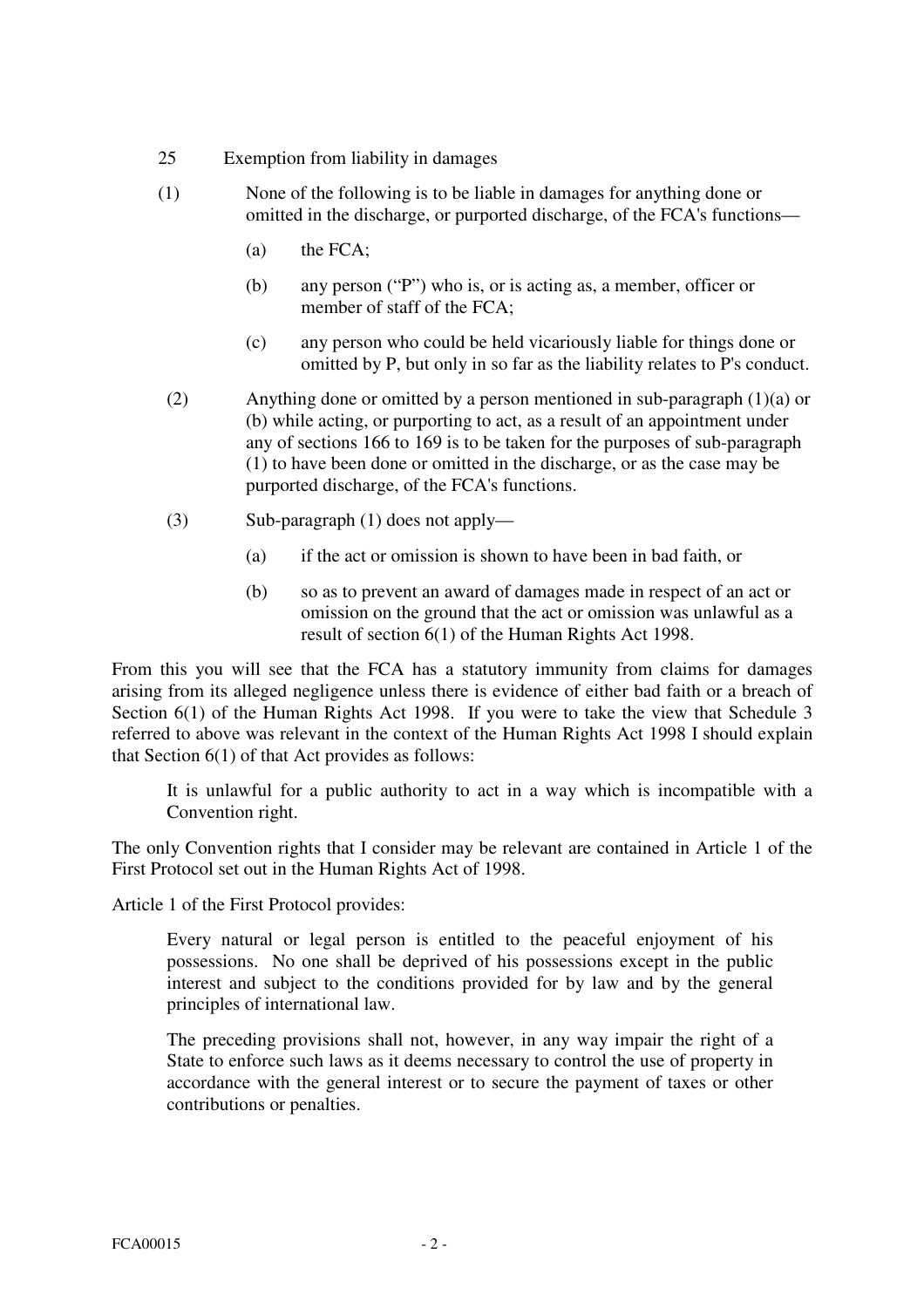- 25 Exemption from liability in damages
- (1) None of the following is to be liable in damages for anything done or omitted in the discharge, or purported discharge, of the FCA's functions—
	- (a) the FCA;
	- (b) any person ("P") who is, or is acting as, a member, officer or member of staff of the FCA;
	- (c) any person who could be held vicariously liable for things done or omitted by P, but only in so far as the liability relates to P's conduct.
- (2) Anything done or omitted by a person mentioned in sub-paragraph (1)(a) or (b) while acting, or purporting to act, as a result of an appointment under any of sections 166 to 169 is to be taken for the purposes of sub-paragraph (1) to have been done or omitted in the discharge, or as the case may be purported discharge, of the FCA's functions.
- (3) Sub-paragraph (1) does not apply—
	- (a) if the act or omission is shown to have been in bad faith, or
	- (b) so as to prevent an award of damages made in respect of an act or omission on the ground that the act or omission was unlawful as a result of section 6(1) of the Human Rights Act 1998.

From this you will see that the FCA has a statutory immunity from claims for damages arising from its alleged negligence unless there is evidence of either bad faith or a breach of Section 6(1) of the Human Rights Act 1998. If you were to take the view that Schedule 3 referred to above was relevant in the context of the Human Rights Act 1998 I should explain that Section 6(1) of that Act provides as follows:

It is unlawful for a public authority to act in a way which is incompatible with a Convention right.

The only Convention rights that I consider may be relevant are contained in Article 1 of the First Protocol set out in the Human Rights Act of 1998.

Article 1 of the First Protocol provides:

Every natural or legal person is entitled to the peaceful enjoyment of his possessions. No one shall be deprived of his possessions except in the public interest and subject to the conditions provided for by law and by the general principles of international law.

The preceding provisions shall not, however, in any way impair the right of a State to enforce such laws as it deems necessary to control the use of property in accordance with the general interest or to secure the payment of taxes or other contributions or penalties.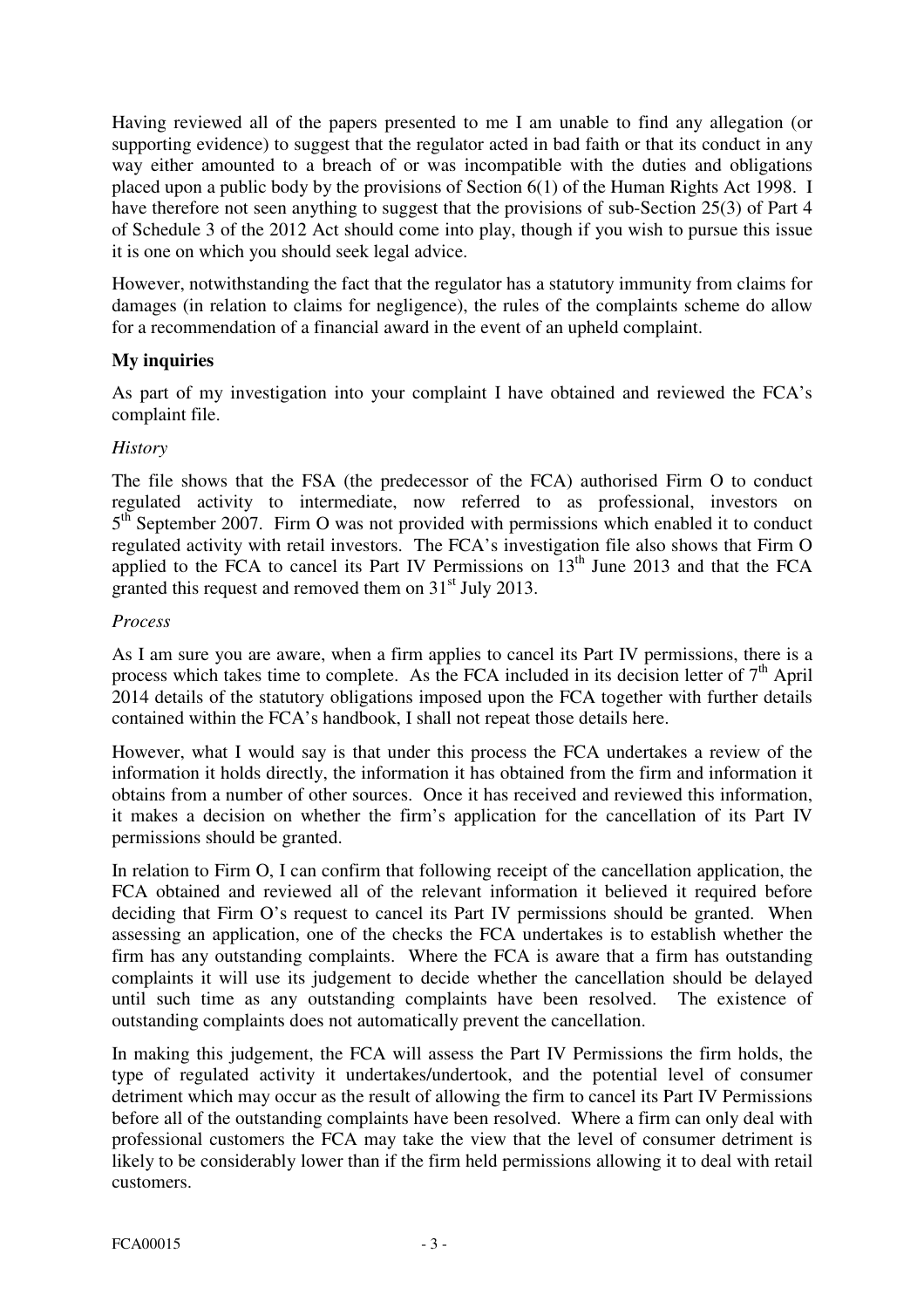Having reviewed all of the papers presented to me I am unable to find any allegation (or supporting evidence) to suggest that the regulator acted in bad faith or that its conduct in any way either amounted to a breach of or was incompatible with the duties and obligations placed upon a public body by the provisions of Section 6(1) of the Human Rights Act 1998. I have therefore not seen anything to suggest that the provisions of sub-Section 25(3) of Part 4 of Schedule 3 of the 2012 Act should come into play, though if you wish to pursue this issue it is one on which you should seek legal advice.

However, notwithstanding the fact that the regulator has a statutory immunity from claims for damages (in relation to claims for negligence), the rules of the complaints scheme do allow for a recommendation of a financial award in the event of an upheld complaint.

## **My inquiries**

As part of my investigation into your complaint I have obtained and reviewed the FCA's complaint file.

# *History*

The file shows that the FSA (the predecessor of the FCA) authorised Firm O to conduct regulated activity to intermediate, now referred to as professional, investors on 5<sup>th</sup> September 2007. Firm O was not provided with permissions which enabled it to conduct regulated activity with retail investors. The FCA's investigation file also shows that Firm O applied to the FCA to cancel its Part IV Permissions on  $13<sup>th</sup>$  June 2013 and that the FCA granted this request and removed them on  $31<sup>st</sup>$  July 2013.

## *Process*

As I am sure you are aware, when a firm applies to cancel its Part IV permissions, there is a process which takes time to complete. As the FCA included in its decision letter of  $7<sup>th</sup>$  April 2014 details of the statutory obligations imposed upon the FCA together with further details contained within the FCA's handbook, I shall not repeat those details here.

However, what I would say is that under this process the FCA undertakes a review of the information it holds directly, the information it has obtained from the firm and information it obtains from a number of other sources. Once it has received and reviewed this information, it makes a decision on whether the firm's application for the cancellation of its Part IV permissions should be granted.

In relation to Firm O, I can confirm that following receipt of the cancellation application, the FCA obtained and reviewed all of the relevant information it believed it required before deciding that Firm O's request to cancel its Part IV permissions should be granted. When assessing an application, one of the checks the FCA undertakes is to establish whether the firm has any outstanding complaints. Where the FCA is aware that a firm has outstanding complaints it will use its judgement to decide whether the cancellation should be delayed until such time as any outstanding complaints have been resolved. The existence of outstanding complaints does not automatically prevent the cancellation.

In making this judgement, the FCA will assess the Part IV Permissions the firm holds, the type of regulated activity it undertakes/undertook, and the potential level of consumer detriment which may occur as the result of allowing the firm to cancel its Part IV Permissions before all of the outstanding complaints have been resolved. Where a firm can only deal with professional customers the FCA may take the view that the level of consumer detriment is likely to be considerably lower than if the firm held permissions allowing it to deal with retail customers.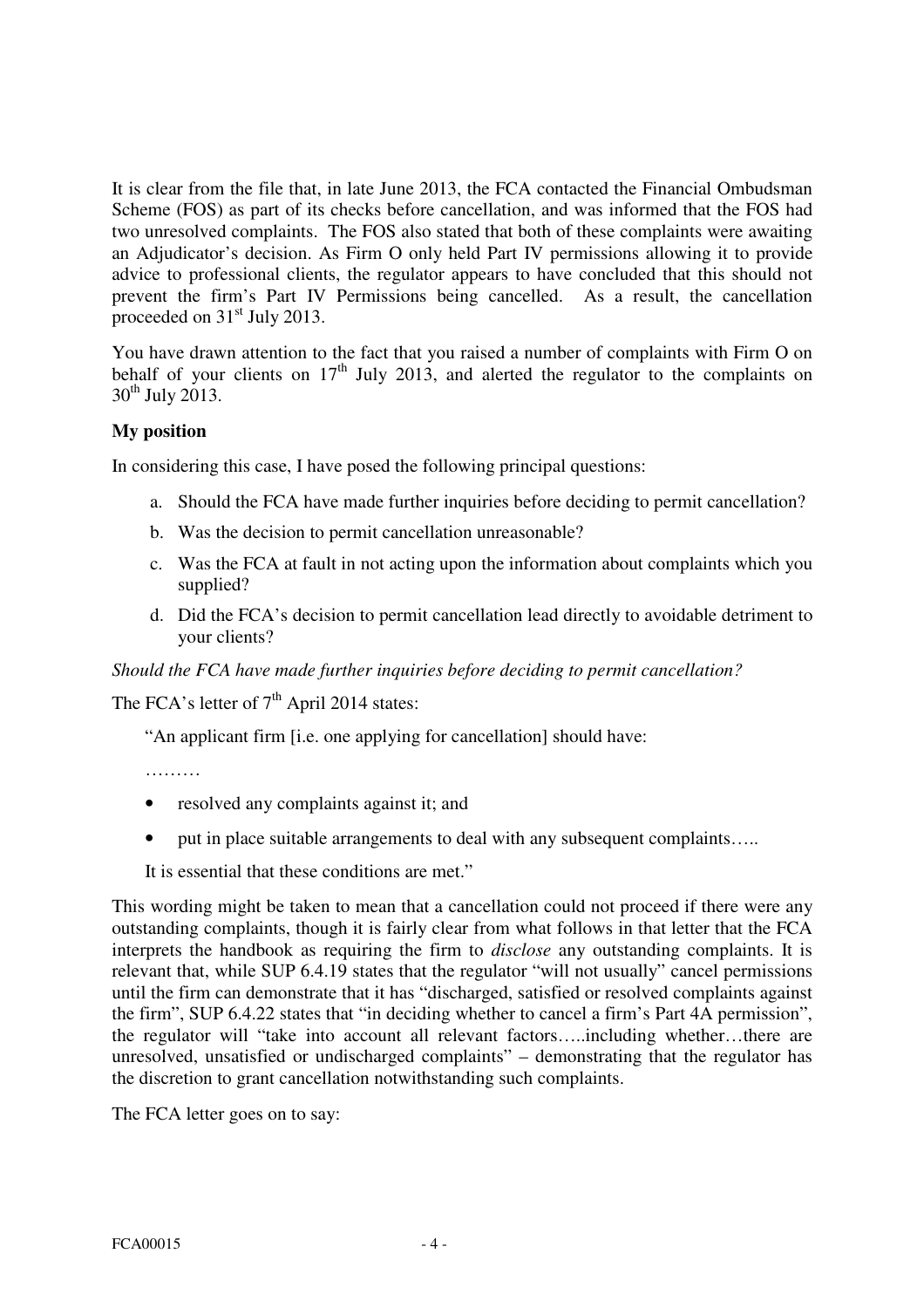It is clear from the file that, in late June 2013, the FCA contacted the Financial Ombudsman Scheme (FOS) as part of its checks before cancellation, and was informed that the FOS had two unresolved complaints. The FOS also stated that both of these complaints were awaiting an Adjudicator's decision. As Firm O only held Part IV permissions allowing it to provide advice to professional clients, the regulator appears to have concluded that this should not prevent the firm's Part IV Permissions being cancelled. As a result, the cancellation proceeded on 31<sup>st</sup> July 2013.

You have drawn attention to the fact that you raised a number of complaints with Firm O on behalf of your clients on  $17<sup>th</sup>$  July 2013, and alerted the regulator to the complaints on  $30<sup>th</sup>$  July 2013.

## **My position**

In considering this case, I have posed the following principal questions:

- a. Should the FCA have made further inquiries before deciding to permit cancellation?
- b. Was the decision to permit cancellation unreasonable?
- c. Was the FCA at fault in not acting upon the information about complaints which you supplied?
- d. Did the FCA's decision to permit cancellation lead directly to avoidable detriment to your clients?

*Should the FCA have made further inquiries before deciding to permit cancellation?* 

The FCA's letter of  $7<sup>th</sup>$  April 2014 states:

"An applicant firm [i.e. one applying for cancellation] should have:

………

- resolved any complaints against it; and
- put in place suitable arrangements to deal with any subsequent complaints…..

It is essential that these conditions are met."

This wording might be taken to mean that a cancellation could not proceed if there were any outstanding complaints, though it is fairly clear from what follows in that letter that the FCA interprets the handbook as requiring the firm to *disclose* any outstanding complaints. It is relevant that, while SUP 6.4.19 states that the regulator "will not usually" cancel permissions until the firm can demonstrate that it has "discharged, satisfied or resolved complaints against the firm", SUP 6.4.22 states that "in deciding whether to cancel a firm's Part 4A permission", the regulator will "take into account all relevant factors…..including whether…there are unresolved, unsatisfied or undischarged complaints" – demonstrating that the regulator has the discretion to grant cancellation notwithstanding such complaints.

The FCA letter goes on to say: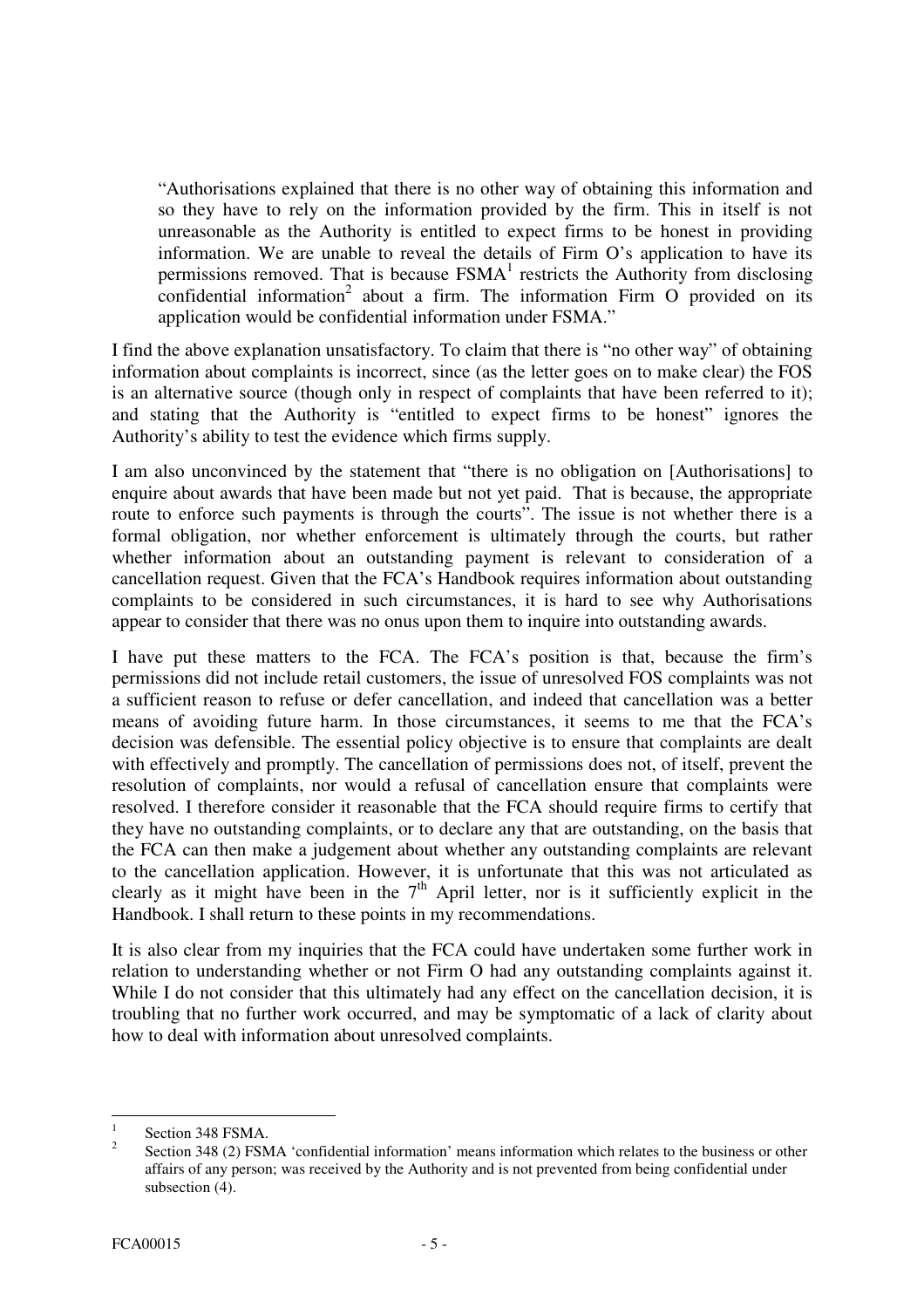"Authorisations explained that there is no other way of obtaining this information and so they have to rely on the information provided by the firm. This in itself is not unreasonable as the Authority is entitled to expect firms to be honest in providing information. We are unable to reveal the details of Firm O's application to have its permissions removed. That is because  $FSMA<sup>1</sup>$  restricts the Authority from disclosing confidential information<sup>2</sup> about a firm. The information Firm  $O$  provided on its application would be confidential information under FSMA."

I find the above explanation unsatisfactory. To claim that there is "no other way" of obtaining information about complaints is incorrect, since (as the letter goes on to make clear) the FOS is an alternative source (though only in respect of complaints that have been referred to it); and stating that the Authority is "entitled to expect firms to be honest" ignores the Authority's ability to test the evidence which firms supply.

I am also unconvinced by the statement that "there is no obligation on [Authorisations] to enquire about awards that have been made but not yet paid. That is because, the appropriate route to enforce such payments is through the courts". The issue is not whether there is a formal obligation, nor whether enforcement is ultimately through the courts, but rather whether information about an outstanding payment is relevant to consideration of a cancellation request. Given that the FCA's Handbook requires information about outstanding complaints to be considered in such circumstances, it is hard to see why Authorisations appear to consider that there was no onus upon them to inquire into outstanding awards.

I have put these matters to the FCA. The FCA's position is that, because the firm's permissions did not include retail customers, the issue of unresolved FOS complaints was not a sufficient reason to refuse or defer cancellation, and indeed that cancellation was a better means of avoiding future harm. In those circumstances, it seems to me that the FCA's decision was defensible. The essential policy objective is to ensure that complaints are dealt with effectively and promptly. The cancellation of permissions does not, of itself, prevent the resolution of complaints, nor would a refusal of cancellation ensure that complaints were resolved. I therefore consider it reasonable that the FCA should require firms to certify that they have no outstanding complaints, or to declare any that are outstanding, on the basis that the FCA can then make a judgement about whether any outstanding complaints are relevant to the cancellation application. However, it is unfortunate that this was not articulated as clearly as it might have been in the  $7<sup>th</sup>$  April letter, nor is it sufficiently explicit in the Handbook. I shall return to these points in my recommendations.

It is also clear from my inquiries that the FCA could have undertaken some further work in relation to understanding whether or not Firm O had any outstanding complaints against it. While I do not consider that this ultimately had any effect on the cancellation decision, it is troubling that no further work occurred, and may be symptomatic of a lack of clarity about how to deal with information about unresolved complaints.

 $\frac{1}{1}$ Section 348 FSMA.

<sup>2</sup> Section 348 (2) FSMA 'confidential information' means information which relates to the business or other affairs of any person; was received by the Authority and is not prevented from being confidential under subsection  $(4)$ .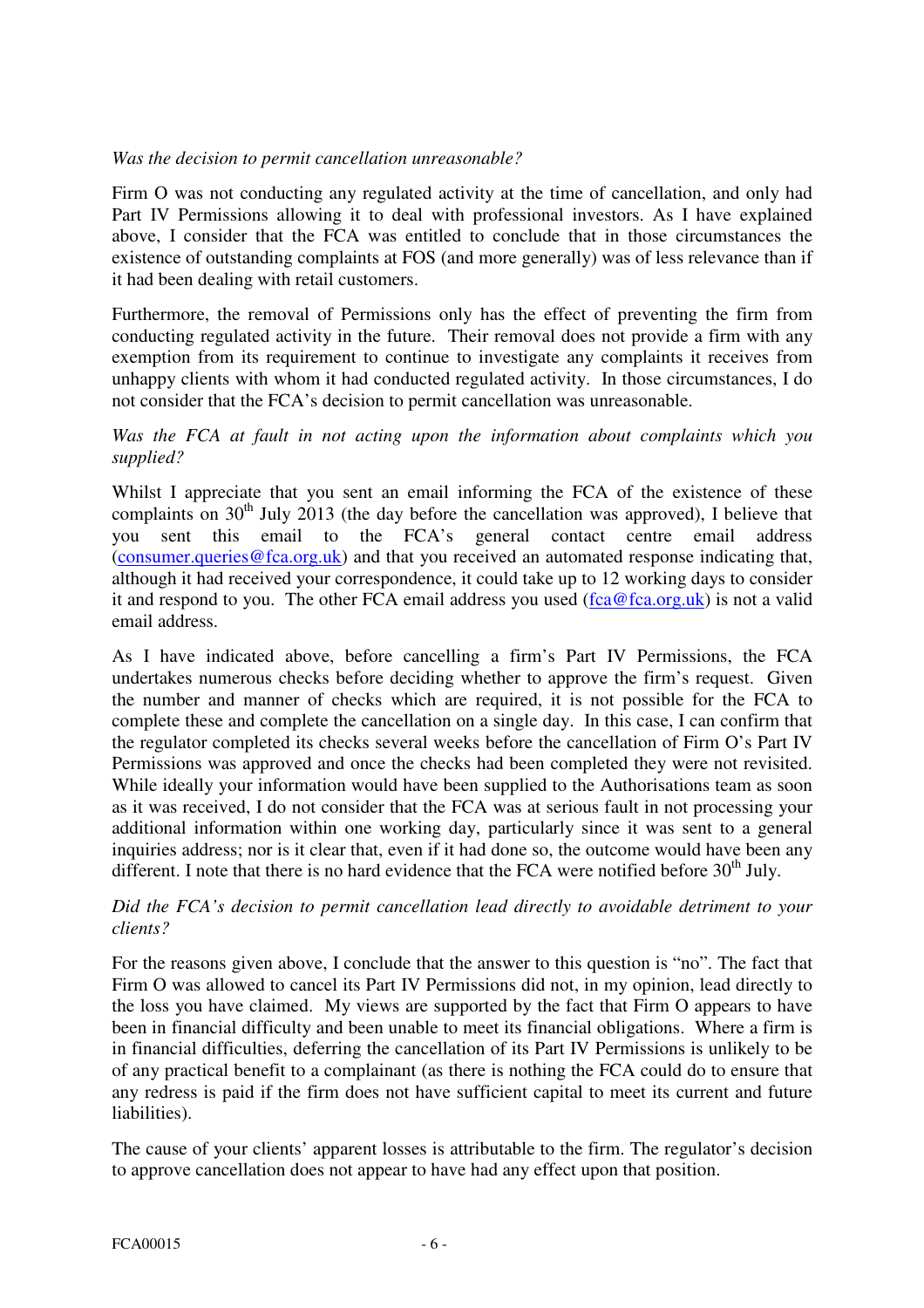#### *Was the decision to permit cancellation unreasonable?*

Firm O was not conducting any regulated activity at the time of cancellation, and only had Part IV Permissions allowing it to deal with professional investors. As I have explained above, I consider that the FCA was entitled to conclude that in those circumstances the existence of outstanding complaints at FOS (and more generally) was of less relevance than if it had been dealing with retail customers.

Furthermore, the removal of Permissions only has the effect of preventing the firm from conducting regulated activity in the future. Their removal does not provide a firm with any exemption from its requirement to continue to investigate any complaints it receives from unhappy clients with whom it had conducted regulated activity. In those circumstances, I do not consider that the FCA's decision to permit cancellation was unreasonable.

### *Was the FCA at fault in not acting upon the information about complaints which you supplied?*

Whilst I appreciate that you sent an email informing the FCA of the existence of these complaints on  $30<sup>th</sup>$  July 2013 (the day before the cancellation was approved), I believe that you sent this email to the FCA's general contact centre email address (consumer.queries@fca.org.uk) and that you received an automated response indicating that, although it had received your correspondence, it could take up to 12 working days to consider it and respond to you. The other FCA email address you used ( $fca@fca.org.uk$ ) is not a valid email address.

As I have indicated above, before cancelling a firm's Part IV Permissions, the FCA undertakes numerous checks before deciding whether to approve the firm's request. Given the number and manner of checks which are required, it is not possible for the FCA to complete these and complete the cancellation on a single day. In this case, I can confirm that the regulator completed its checks several weeks before the cancellation of Firm O's Part IV Permissions was approved and once the checks had been completed they were not revisited. While ideally your information would have been supplied to the Authorisations team as soon as it was received, I do not consider that the FCA was at serious fault in not processing your additional information within one working day, particularly since it was sent to a general inquiries address; nor is it clear that, even if it had done so, the outcome would have been any different. I note that there is no hard evidence that the FCA were notified before  $30<sup>th</sup>$  July.

*Did the FCA's decision to permit cancellation lead directly to avoidable detriment to your clients?* 

For the reasons given above, I conclude that the answer to this question is "no". The fact that Firm O was allowed to cancel its Part IV Permissions did not, in my opinion, lead directly to the loss you have claimed. My views are supported by the fact that Firm O appears to have been in financial difficulty and been unable to meet its financial obligations. Where a firm is in financial difficulties, deferring the cancellation of its Part IV Permissions is unlikely to be of any practical benefit to a complainant (as there is nothing the FCA could do to ensure that any redress is paid if the firm does not have sufficient capital to meet its current and future liabilities).

The cause of your clients' apparent losses is attributable to the firm. The regulator's decision to approve cancellation does not appear to have had any effect upon that position.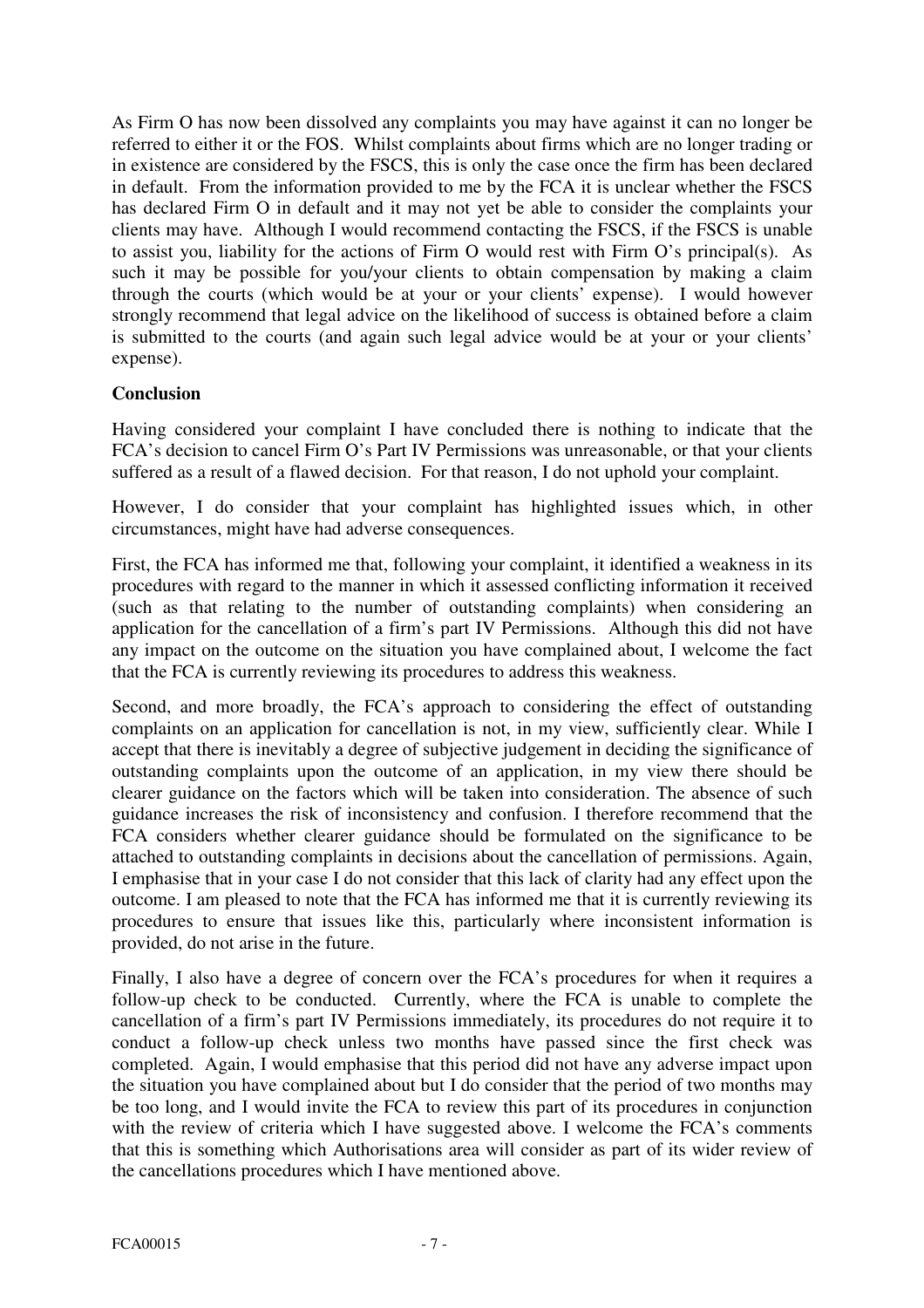As Firm O has now been dissolved any complaints you may have against it can no longer be referred to either it or the FOS. Whilst complaints about firms which are no longer trading or in existence are considered by the FSCS, this is only the case once the firm has been declared in default. From the information provided to me by the FCA it is unclear whether the FSCS has declared Firm O in default and it may not yet be able to consider the complaints your clients may have. Although I would recommend contacting the FSCS, if the FSCS is unable to assist you, liability for the actions of Firm O would rest with Firm O's principal(s). As such it may be possible for you/your clients to obtain compensation by making a claim through the courts (which would be at your or your clients' expense). I would however strongly recommend that legal advice on the likelihood of success is obtained before a claim is submitted to the courts (and again such legal advice would be at your or your clients' expense).

### **Conclusion**

Having considered your complaint I have concluded there is nothing to indicate that the FCA's decision to cancel Firm O's Part IV Permissions was unreasonable, or that your clients suffered as a result of a flawed decision. For that reason, I do not uphold your complaint.

However, I do consider that your complaint has highlighted issues which, in other circumstances, might have had adverse consequences.

First, the FCA has informed me that, following your complaint, it identified a weakness in its procedures with regard to the manner in which it assessed conflicting information it received (such as that relating to the number of outstanding complaints) when considering an application for the cancellation of a firm's part IV Permissions. Although this did not have any impact on the outcome on the situation you have complained about, I welcome the fact that the FCA is currently reviewing its procedures to address this weakness.

Second, and more broadly, the FCA's approach to considering the effect of outstanding complaints on an application for cancellation is not, in my view, sufficiently clear. While I accept that there is inevitably a degree of subjective judgement in deciding the significance of outstanding complaints upon the outcome of an application, in my view there should be clearer guidance on the factors which will be taken into consideration. The absence of such guidance increases the risk of inconsistency and confusion. I therefore recommend that the FCA considers whether clearer guidance should be formulated on the significance to be attached to outstanding complaints in decisions about the cancellation of permissions. Again, I emphasise that in your case I do not consider that this lack of clarity had any effect upon the outcome. I am pleased to note that the FCA has informed me that it is currently reviewing its procedures to ensure that issues like this, particularly where inconsistent information is provided, do not arise in the future.

Finally, I also have a degree of concern over the FCA's procedures for when it requires a follow-up check to be conducted. Currently, where the FCA is unable to complete the cancellation of a firm's part IV Permissions immediately, its procedures do not require it to conduct a follow-up check unless two months have passed since the first check was completed. Again, I would emphasise that this period did not have any adverse impact upon the situation you have complained about but I do consider that the period of two months may be too long, and I would invite the FCA to review this part of its procedures in conjunction with the review of criteria which I have suggested above. I welcome the FCA's comments that this is something which Authorisations area will consider as part of its wider review of the cancellations procedures which I have mentioned above.